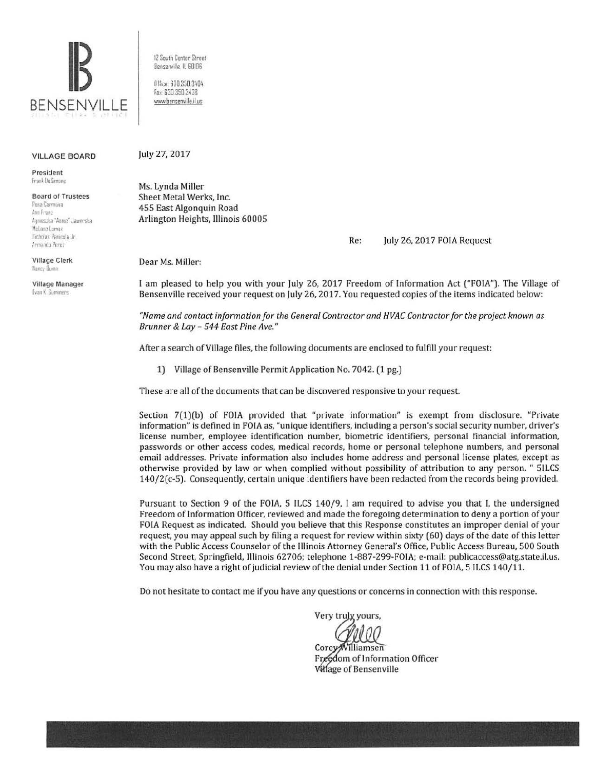

12 South Center Street Bensenville IL EOIOS 0 Hice. 630 350.3404

Fax: 630 350 3438 www.bensenville il us

## VILLAGE BOARD

President Frank DeSimone

Board of Trustees Rosa Carmona Ann Franz Annieszka "Annie" Jawerska McLann Lomax llicholas Panicola Jr. Armando Perez

Village Clerk Nancy Dumn

Village Manager Evan K. Summers

July 27, 2017

Ms. Lynda Miller Sheet Metal Werks, Inc. 455 East Algonquin Road Arlington Heights, Illinois 60005

Re: July 26, 2017 FOIA Request

Dear Ms. Miller:

I am pleased to help you with your July 26, 2017 Freedom of Information Act ("FOIA"). The Village of Bensenville received your request on July 26, 2017. You requested copies of the items indicated below:

*''Name and contact information for the General Contractor and HVAC Contractor for the project known as Brunner* & *Lay* - *544 East Pine Ave."* 

After a search of Village files, the following documents are enclosed to fulfill your request:

1) Village of Bensenville Permit Application No. 7042. (1 pg.)

These are all of the documents that can be discovered responsive to your request

Section 7(1)(b) of FOIA provided that "private information" is exempt from disclosure. "Private information" is defined in FOIA as, "unique identifiers, including a person's social security number, driver's license number, employee identification number, biometric identifiers, personal financial information, passwords or other access codes, medical records, home or personal telephone numbers, and personal email addresses. Private information also includes home address and personal license plates, except as otherwise provided by law or when complied without possibility of attribution to any person. " 51LCS 140/2(c-5). Consequently, certain unique identifiers have been redacted from the records being provided.

Pursuant to Section 9 of the FOIA, 5 ILCS 140/9, I am required to advise you that I, the undersigned Freedom of Information Officer, reviewed and made the foregoing determination to deny a portion of your FOIA Request as indicated. Should you believe that this Response constitutes an improper denial of your request, you may appeal such by filing a request for review within sixty (60) days of the date of this letter with the Public Access Counselor of the Illinois Attorney General's Office, Public Access Bureau, 500 South Second Street, Springfield, Illinois 62706; telephone 1-887-299-FOIA; e-mail: publicaccess@atg.state.il.us. You may also have a right of judicial review of the denial under Section 11 of FOIA, 5 ILCS 140/11.

Do not hesitate to contact me if you have any questions or concerns in connection with this response.

Very truly yours,

Corey Williamsen

Freedom of Information Officer **Village of Bensenville**